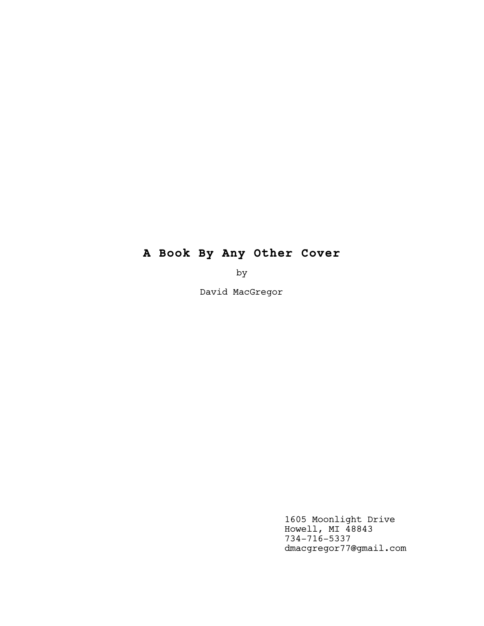# **A Book By Any Other Cover**

by

David MacGregor

1605 Moonlight Drive Howell, MI 48843 734-716-5337 dmacgregor77@gmail.com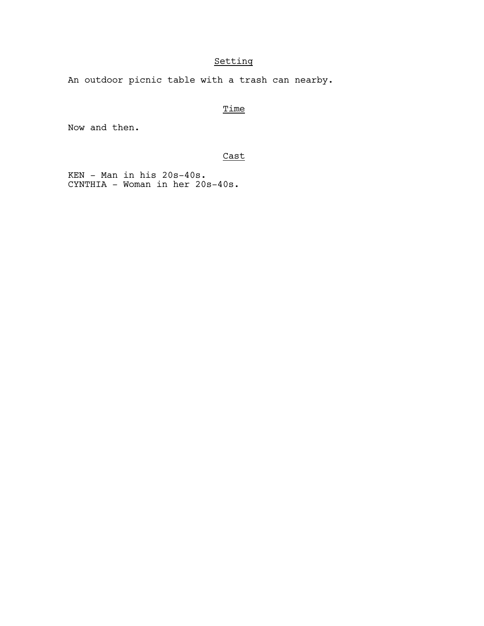# Setting

An outdoor picnic table with a trash can nearby.

# **Time**

Now and then.

# Cast

 KEN - Man in his 20s-40s. CYNTHIA - Woman in her 20s-40s.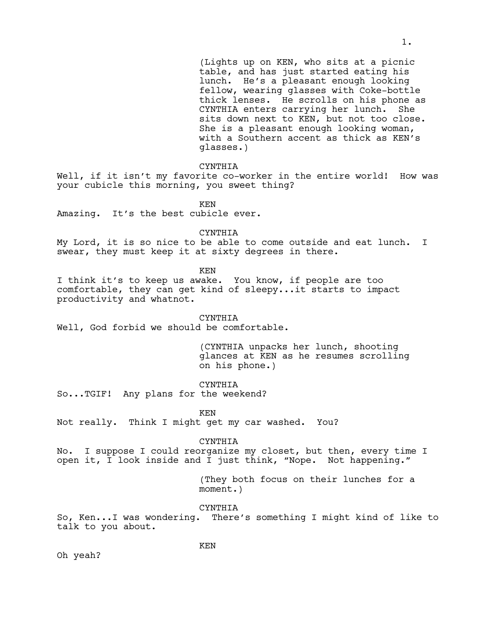(Lights up on KEN, who sits at a picnic table, and has just started eating his lunch. He's a pleasant enough looking fellow, wearing glasses with Coke-bottle thick lenses. He scrolls on his phone as CYNTHIA enters carrying her lunch. She sits down next to KEN, but not too close. She is a pleasant enough looking woman, with a Southern accent as thick as KEN's glasses.)

#### CYNTHIA

Well, if it isn't my favorite co-worker in the entire world! How was your cubicle this morning, you sweet thing?

KEN

Amazing. It's the best cubicle ever.

CYNTHIA

My Lord, it is so nice to be able to come outside and eat lunch. I swear, they must keep it at sixty degrees in there.

KEN

I think it's to keep us awake. You know, if people are too comfortable, they can get kind of sleepy...it starts to impact productivity and whatnot.

CYNTHIA

Well, God forbid we should be comfortable.

(CYNTHIA unpacks her lunch, shooting glances at KEN as he resumes scrolling on his phone.)

CYNTHIA

So...TGIF! Any plans for the weekend?

KEN

Not really. Think I might get my car washed. You?

CYNTHIA

No. I suppose I could reorganize my closet, but then, every time I open it, I look inside and I just think, "Nope. Not happening."

> (They both focus on their lunches for a moment.)

# CYNTHIA

So, Ken...I was wondering. There's something I might kind of like to talk to you about.

Oh yeah?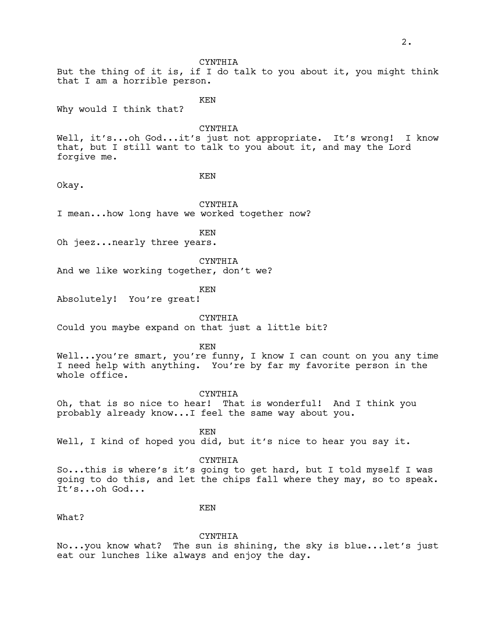CYNTHIA But the thing of it is, if I do talk to you about it, you might think that I am a horrible person.

KEN

Why would I think that?

**CYNTHIA** 

Well, it's...oh God...it's just not appropriate. It's wrong! I know that, but I still want to talk to you about it, and may the Lord forgive me.

KEN

Okay.

CYNTHIA

I mean...how long have we worked together now?

KEN

Oh jeez...nearly three years.

CYNTHIA

And we like working together, don't we?

KEN

Absolutely! You're great!

CYNTHIA

Could you maybe expand on that just a little bit?

KEN

Well...you're smart, you're funny, I know I can count on you any time I need help with anything. You're by far my favorite person in the whole office.

CYNTHIA

Oh, that is so nice to hear! That is wonderful! And I think you probably already know...I feel the same way about you.

KEN

Well, I kind of hoped you did, but it's nice to hear you say it.

CYNTHIA

So...this is where's it's going to get hard, but I told myself I was going to do this, and let the chips fall where they may, so to speak. It's...oh God...

What?

KEN

CYNTHIA

No...you know what? The sun is shining, the sky is blue...let's just eat our lunches like always and enjoy the day.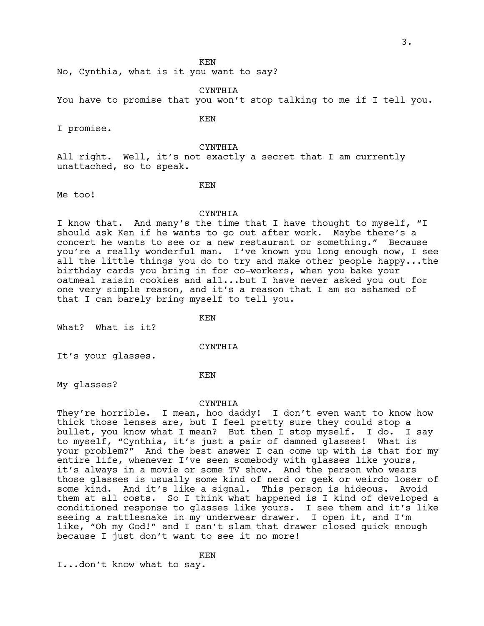KEN

No, Cynthia, what is it you want to say?

CYNTHIA

You have to promise that you won't stop talking to me if I tell you.

KEN

I promise.

CYNTHIA

All right. Well, it's not exactly a secret that I am currently unattached, so to speak.

KEN

Me too!

#### CYNTHIA

I know that. And many's the time that I have thought to myself, "I should ask Ken if he wants to go out after work. Maybe there's a concert he wants to see or a new restaurant or something." Because you're a really wonderful man. I've known you long enough now, I see all the little things you do to try and make other people happy...the birthday cards you bring in for co-workers, when you bake your oatmeal raisin cookies and all...but I have never asked you out for one very simple reason, and it's a reason that I am so ashamed of that I can barely bring myself to tell you.

KEN

What? What is it?

CYNTHIA

It's your glasses.

KEN

My glasses?

#### CYNTHIA

They're horrible. I mean, hoo daddy! I don't even want to know how thick those lenses are, but I feel pretty sure they could stop a bullet, you know what I mean? But then I stop myself. I do. I say to myself, "Cynthia, it's just a pair of damned glasses! What is your problem?" And the best answer I can come up with is that for my entire life, whenever I've seen somebody with glasses like yours, it's always in a movie or some TV show. And the person who wears those glasses is usually some kind of nerd or geek or weirdo loser of some kind. And it's like a signal. This person is hideous. Avoid them at all costs. So I think what happened is I kind of developed a conditioned response to glasses like yours. I see them and it's like seeing a rattlesnake in my underwear drawer. I open it, and I'm like, "Oh my God!" and I can't slam that drawer closed quick enough because I just don't want to see it no more!

KEN

I...don't know what to say.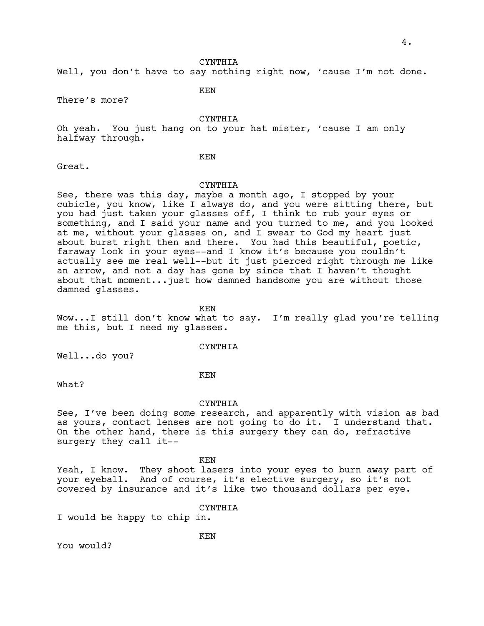CYNTHIA

Well, you don't have to say nothing right now, 'cause I'm not done.

There's more?

KEN

CYNTHIA

Oh yeah. You just hang on to your hat mister, 'cause I am only halfway through.

KEN

Great.

### CYNTHIA

See, there was this day, maybe a month ago, I stopped by your cubicle, you know, like I always do, and you were sitting there, but you had just taken your glasses off, I think to rub your eyes or something, and I said your name and you turned to me, and you looked at me, without your glasses on, and I swear to God my heart just about burst right then and there. You had this beautiful, poetic, faraway look in your eyes--and I know it's because you couldn't actually see me real well--but it just pierced right through me like an arrow, and not a day has gone by since that I haven't thought about that moment...just how damned handsome you are without those damned glasses.

KEN Wow...I still don't know what to say. I'm really glad you're telling me this, but I need my glasses.

CYNTHIA

Well...do you?

KEN

What?

#### CYNTHIA

See, I've been doing some research, and apparently with vision as bad as yours, contact lenses are not going to do it. I understand that. On the other hand, there is this surgery they can do, refractive surgery they call it--

KEN

KEN

Yeah, I know. They shoot lasers into your eyes to burn away part of your eyeball. And of course, it's elective surgery, so it's not covered by insurance and it's like two thousand dollars per eye.

CYNTHIA

I would be happy to chip in.

You would?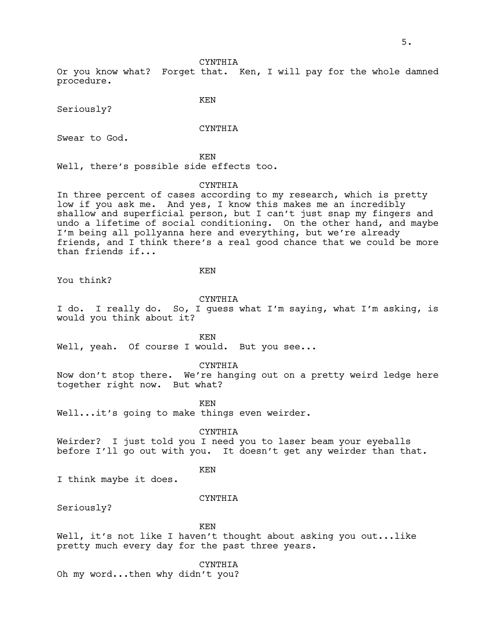#### CYNTHIA

Or you know what? Forget that. Ken, I will pay for the whole damned procedure.

Seriously?

CYNTHIA

KEN

Swear to God.

KEN

Well, there's possible side effects too.

#### CYNTHIA

In three percent of cases according to my research, which is pretty low if you ask me. And yes, I know this makes me an incredibly shallow and superficial person, but I can't just snap my fingers and undo a lifetime of social conditioning. On the other hand, and maybe I'm being all pollyanna here and everything, but we're already friends, and I think there's a real good chance that we could be more than friends if...

KEN

You think?

#### CYNTHIA

I do. I really do. So, I guess what I'm saying, what I'm asking, is would you think about it?

KEN

Well, yeah. Of course I would. But you see...

CYNTHIA

Now don't stop there. We're hanging out on a pretty weird ledge here together right now. But what?

KEN

Well...it's going to make things even weirder.

CYNTHIA

Weirder? I just told you I need you to laser beam your eyeballs before I'll go out with you. It doesn't get any weirder than that.

KEN

I think maybe it does.

#### CYNTHIA

Seriously?

KEN

Well, it's not like I haven't thought about asking you out...like pretty much every day for the past three years.

CYNTHIA

Oh my word...then why didn't you?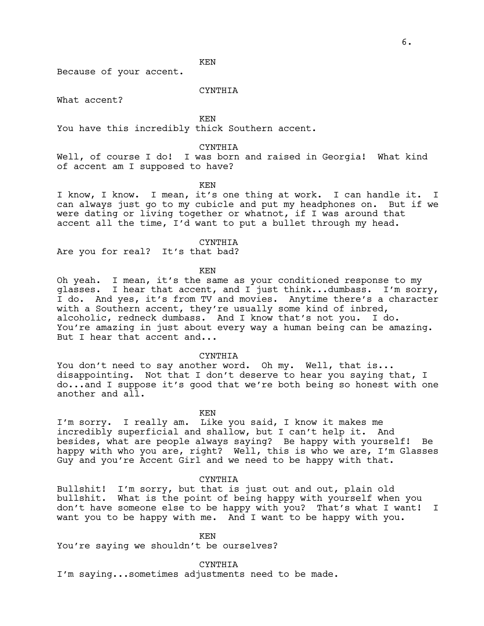KEN

Because of your accent.

CYNTHIA

What accent?

KEN

You have this incredibly thick Southern accent.

CYNTHIA

Well, of course I do! I was born and raised in Georgia! What kind of accent am I supposed to have?

KEN

I know, I know. I mean, it's one thing at work. I can handle it. I can always just go to my cubicle and put my headphones on. But if we were dating or living together or whatnot, if I was around that accent all the time, I'd want to put a bullet through my head.

CYNTHIA

Are you for real? It's that bad?

KEN

Oh yeah. I mean, it's the same as your conditioned response to my glasses. I hear that accent, and I just think...dumbass. I'm sorry, I do. And yes, it's from TV and movies. Anytime there's a character with a Southern accent, they're usually some kind of inbred, alcoholic, redneck dumbass. And I know that's not you. I do. You're amazing in just about every way a human being can be amazing. But I hear that accent and...

#### CYNTHIA

You don't need to say another word. Oh my. Well, that is... disappointing. Not that I don't deserve to hear you saying that, I do...and I suppose it's good that we're both being so honest with one another and all.

KEN

I'm sorry. I really am. Like you said, I know it makes me incredibly superficial and shallow, but I can't help it. And besides, what are people always saying? Be happy with yourself! Be happy with who you are, right? Well, this is who we are, I'm Glasses Guy and you're Accent Girl and we need to be happy with that.

#### CYNTHIA

Bullshit! I'm sorry, but that is just out and out, plain old bullshit. What is the point of being happy with yourself when you don't have someone else to be happy with you? That's what I want! I want you to be happy with me. And I want to be happy with you.

KEN

You're saying we shouldn't be ourselves?

CYNTHIA

I'm saying...sometimes adjustments need to be made.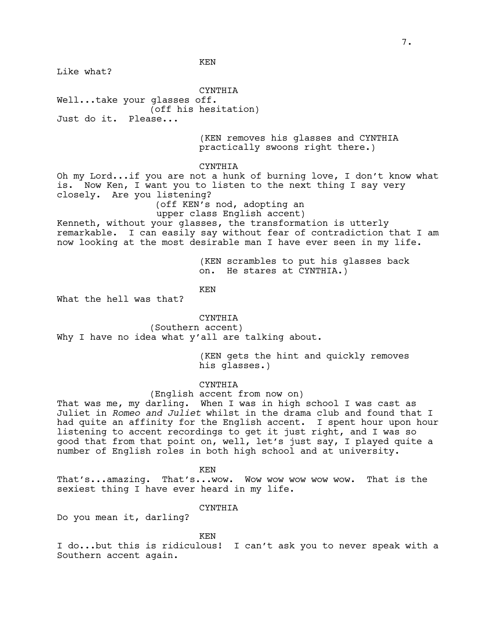KEN

Like what?

**CYNTHIA** Well...take your glasses off.

(off his hesitation)

Just do it. Please...

(KEN removes his glasses and CYNTHIA practically swoons right there.)

CYNTHIA

Oh my Lord...if you are not a hunk of burning love, I don't know what is. Now Ken, I want you to listen to the next thing I say very closely. Are you listening?

(off KEN's nod, adopting an

upper class English accent) Kenneth, without your glasses, the transformation is utterly remarkable. I can easily say without fear of contradiction that I am now looking at the most desirable man I have ever seen in my life.

> (KEN scrambles to put his glasses back on. He stares at CYNTHIA.)

KEN

What the hell was that?

CYNTHIA

(Southern accent) Why I have no idea what y'all are talking about.

> (KEN gets the hint and quickly removes his glasses.)

CYNTHIA

(English accent from now on)

That was me, my darling. When I was in high school I was cast as Juliet in *Romeo and Juliet* whilst in the drama club and found that I had quite an affinity for the English accent. I spent hour upon hour listening to accent recordings to get it just right, and I was so good that from that point on, well, let's just say, I played quite a number of English roles in both high school and at university.

KEN

That's...amazing. That's...wow. Wow wow wow wow wow. That is the sexiest thing I have ever heard in my life.

CYNTHIA

Do you mean it, darling?

KEN

I do...but this is ridiculous! I can't ask you to never speak with a Southern accent again.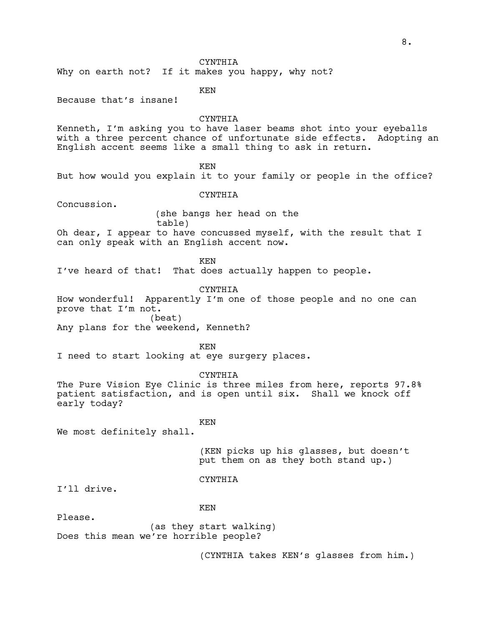# CYNTHIA

Why on earth not? If it makes you happy, why not?

KEN

Because that's insane!

### CYNTHIA

Kenneth, I'm asking you to have laser beams shot into your eyeballs with a three percent chance of unfortunate side effects. Adopting an English accent seems like a small thing to ask in return.

KEN

But how would you explain it to your family or people in the office?

### **CYNTHIA**

Concussion.

 (she bangs her head on the table)

Oh dear, I appear to have concussed myself, with the result that I can only speak with an English accent now.

KEN

I've heard of that! That does actually happen to people.

CYNTHIA

How wonderful! Apparently I'm one of those people and no one can prove that I'm not. (beat)

Any plans for the weekend, Kenneth?

KEN

I need to start looking at eye surgery places.

CYNTHIA

The Pure Vision Eye Clinic is three miles from here, reports 97.8% patient satisfaction, and is open until six. Shall we knock off early today?

# KEN

We most definitely shall.

(KEN picks up his glasses, but doesn't put them on as they both stand up.)

# CYNTHIA

I'll drive.

# KEN

Please.

(as they start walking) Does this mean we're horrible people?

(CYNTHIA takes KEN's glasses from him.)